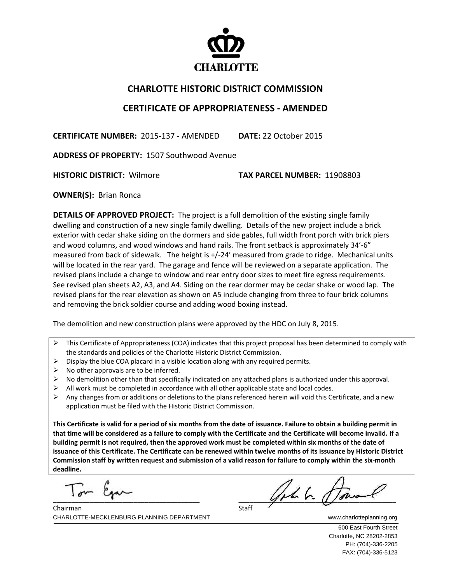

## **CHARLOTTE HISTORIC DISTRICT COMMISSION**

## **CERTIFICATE OF APPROPRIATENESS ‐ AMENDED**

**CERTIFICATE NUMBER:** 2015‐137 ‐ AMENDED **DATE:** 22 October 2015

**ADDRESS OF PROPERTY:** 1507 Southwood Avenue

**HISTORIC DISTRICT:** Wilmore **TAX PARCEL NUMBER:** 11908803

**OWNER(S): Brian Ronca** 

**DETAILS OF APPROVED PROJECT:** The project is a full demolition of the existing single family dwelling and construction of a new single family dwelling. Details of the new project include a brick exterior with cedar shake siding on the dormers and side gables, full width front porch with brick piers and wood columns, and wood windows and hand rails. The front setback is approximately 34'‐6" measured from back of sidewalk. The height is +/-24' measured from grade to ridge. Mechanical units will be located in the rear yard. The garage and fence will be reviewed on a separate application. The revised plans include a change to window and rear entry door sizes to meet fire egress requirements. See revised plan sheets A2, A3, and A4. Siding on the rear dormer may be cedar shake or wood lap. The revised plans for the rear elevation as shown on A5 include changing from three to four brick columns and removing the brick soldier course and adding wood boxing instead.

The demolition and new construction plans were approved by the HDC on July 8, 2015.

- $\triangleright$  This Certificate of Appropriateness (COA) indicates that this project proposal has been determined to comply with the standards and policies of the Charlotte Historic District Commission.
- $\triangleright$  Display the blue COA placard in a visible location along with any required permits.
- $\triangleright$  No other approvals are to be inferred.
- $\triangleright$  No demolition other than that specifically indicated on any attached plans is authorized under this approval.
- $\triangleright$  All work must be completed in accordance with all other applicable state and local codes.
- $\triangleright$  Any changes from or additions or deletions to the plans referenced herein will void this Certificate, and a new application must be filed with the Historic District Commission.

This Certificate is valid for a period of six months from the date of issuance. Failure to obtain a building permit in that time will be considered as a failure to comply with the Certificate and the Certificate will become invalid. If a building permit is not required, then the approved work must be completed within six months of the date of issuance of this Certificate. The Certificate can be renewed within twelve months of its issuance by Historic District Commission staff by written request and submission of a valid reason for failure to comply within the six-month **deadline.**

 $\overline{\phantom{a}}$ I'm can

 $\frac{1}{\text{Start}}$ 

CHARLOTTE-MECKLENBURG PLANNING DEPARTMENT WWW.charlotteplanning.org Chairman Staff

> 600 East Fourth Street Charlotte, NC 28202-2853 PH: (704)-336-2205 FAX: (704)-336-5123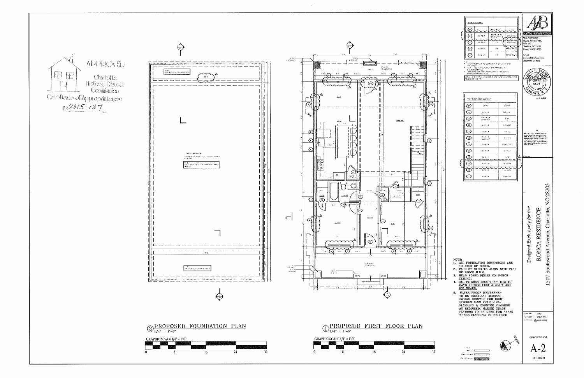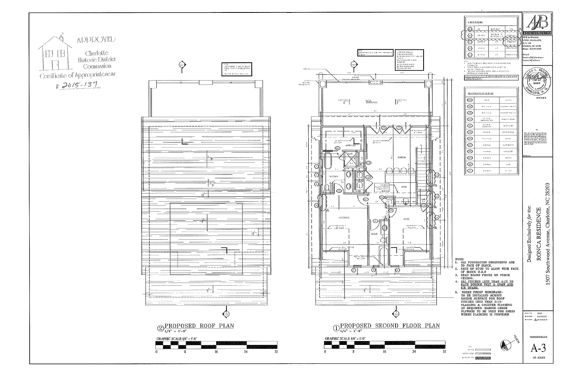

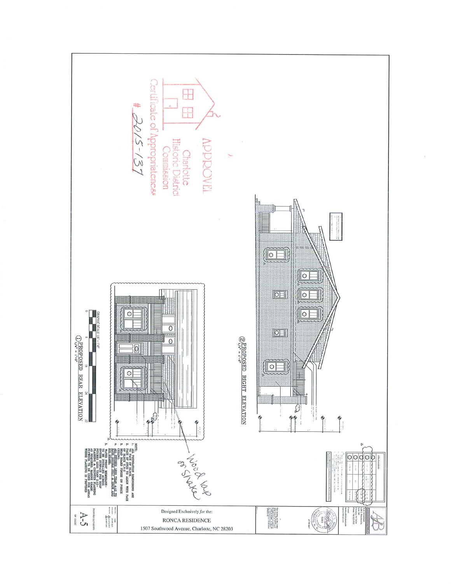